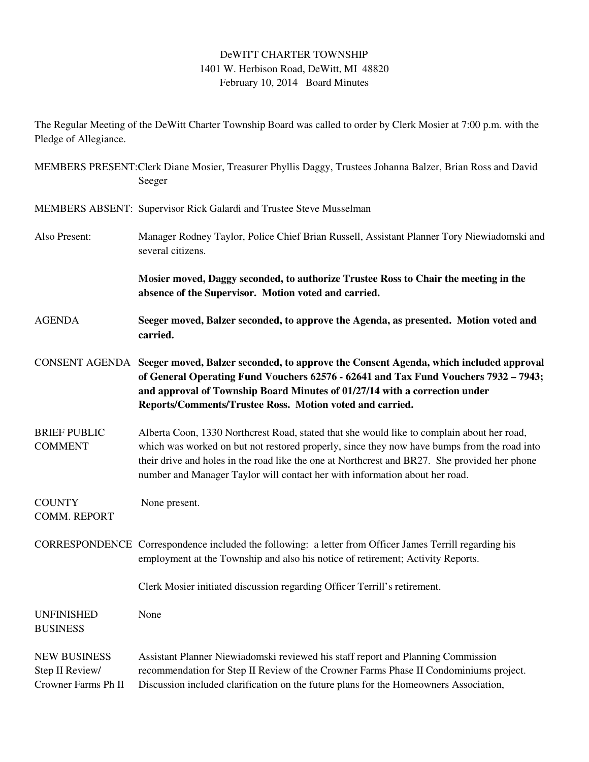## DeWITT CHARTER TOWNSHIP 1401 W. Herbison Road, DeWitt, MI 48820 February 10, 2014 Board Minutes

The Regular Meeting of the DeWitt Charter Township Board was called to order by Clerk Mosier at 7:00 p.m. with the Pledge of Allegiance.

MEMBERS PRESENT:Clerk Diane Mosier, Treasurer Phyllis Daggy, Trustees Johanna Balzer, Brian Ross and David Seeger MEMBERS ABSENT: Supervisor Rick Galardi and Trustee Steve Musselman Also Present: Manager Rodney Taylor, Police Chief Brian Russell, Assistant Planner Tory Niewiadomski and several citizens. **Mosier moved, Daggy seconded, to authorize Trustee Ross to Chair the meeting in the absence of the Supervisor. Motion voted and carried.**  AGENDA **Seeger moved, Balzer seconded, to approve the Agenda, as presented. Motion voted and carried.**  CONSENT AGENDA **Seeger moved, Balzer seconded, to approve the Consent Agenda, which included approval of General Operating Fund Vouchers 62576 - 62641 and Tax Fund Vouchers 7932 – 7943; and approval of Township Board Minutes of 01/27/14 with a correction under Reports/Comments/Trustee Ross. Motion voted and carried.**  BRIEF PUBLIC Alberta Coon, 1330 Northcrest Road, stated that she would like to complain about her road, COMMENT which was worked on but not restored properly, since they now have bumps from the road into their drive and holes in the road like the one at Northcrest and BR27. She provided her phone number and Manager Taylor will contact her with information about her road. COUNTY None present. COMM. REPORT CORRESPONDENCE Correspondence included the following: a letter from Officer James Terrill regarding his employment at the Township and also his notice of retirement; Activity Reports. Clerk Mosier initiated discussion regarding Officer Terrill's retirement. UNFINISHED None BUSINESS NEW BUSINESS Assistant Planner Niewiadomski reviewed his staff report and Planning Commission Step II Review/ recommendation for Step II Review of the Crowner Farms Phase II Condominiums project. Crowner Farms Ph II Discussion included clarification on the future plans for the Homeowners Association,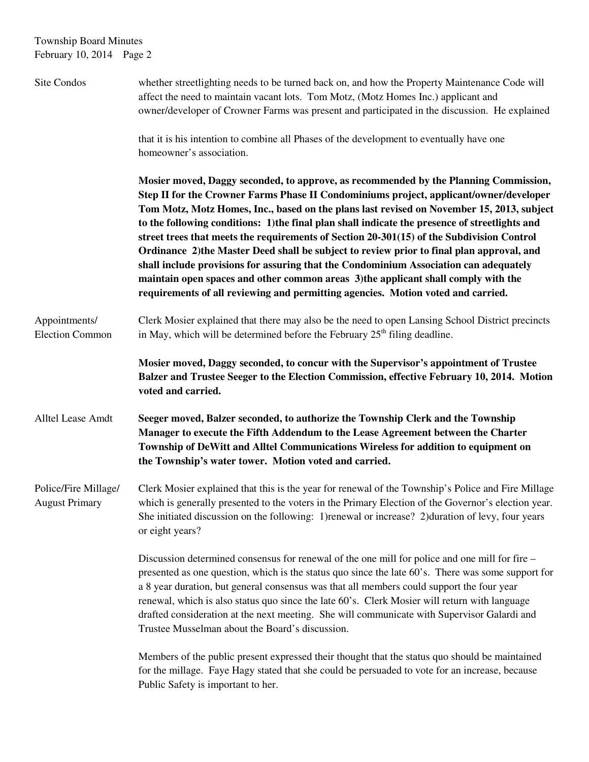## Township Board Minutes February 10, 2014 Page 2

| Site Condos                                   | whether streetlighting needs to be turned back on, and how the Property Maintenance Code will<br>affect the need to maintain vacant lots. Tom Motz, (Motz Homes Inc.) applicant and<br>owner/developer of Crowner Farms was present and participated in the discussion. He explained                                                                                                                                                                                                                                                                                                                                                                                                                                                                                                                                                       |
|-----------------------------------------------|--------------------------------------------------------------------------------------------------------------------------------------------------------------------------------------------------------------------------------------------------------------------------------------------------------------------------------------------------------------------------------------------------------------------------------------------------------------------------------------------------------------------------------------------------------------------------------------------------------------------------------------------------------------------------------------------------------------------------------------------------------------------------------------------------------------------------------------------|
|                                               | that it is his intention to combine all Phases of the development to eventually have one<br>homeowner's association.                                                                                                                                                                                                                                                                                                                                                                                                                                                                                                                                                                                                                                                                                                                       |
|                                               | Mosier moved, Daggy seconded, to approve, as recommended by the Planning Commission,<br>Step II for the Crowner Farms Phase II Condominiums project, applicant/owner/developer<br>Tom Motz, Motz Homes, Inc., based on the plans last revised on November 15, 2013, subject<br>to the following conditions: 1) the final plan shall indicate the presence of streetlights and<br>street trees that meets the requirements of Section 20-301(15) of the Subdivision Control<br>Ordinance 2) the Master Deed shall be subject to review prior to final plan approval, and<br>shall include provisions for assuring that the Condominium Association can adequately<br>maintain open spaces and other common areas 3) the applicant shall comply with the<br>requirements of all reviewing and permitting agencies. Motion voted and carried. |
| Appointments/<br><b>Election Common</b>       | Clerk Mosier explained that there may also be the need to open Lansing School District precincts<br>in May, which will be determined before the February $25th$ filing deadline.                                                                                                                                                                                                                                                                                                                                                                                                                                                                                                                                                                                                                                                           |
|                                               | Mosier moved, Daggy seconded, to concur with the Supervisor's appointment of Trustee<br>Balzer and Trustee Seeger to the Election Commission, effective February 10, 2014. Motion<br>voted and carried.                                                                                                                                                                                                                                                                                                                                                                                                                                                                                                                                                                                                                                    |
| Alltel Lease Amdt                             | Seeger moved, Balzer seconded, to authorize the Township Clerk and the Township<br>Manager to execute the Fifth Addendum to the Lease Agreement between the Charter<br>Township of DeWitt and Alltel Communications Wireless for addition to equipment on<br>the Township's water tower. Motion voted and carried.                                                                                                                                                                                                                                                                                                                                                                                                                                                                                                                         |
| Police/Fire Millage/<br><b>August Primary</b> | Clerk Mosier explained that this is the year for renewal of the Township's Police and Fire Millage<br>which is generally presented to the voters in the Primary Election of the Governor's election year.<br>She initiated discussion on the following: 1) renewal or increase? 2) duration of levy, four years<br>or eight years?                                                                                                                                                                                                                                                                                                                                                                                                                                                                                                         |
|                                               | Discussion determined consensus for renewal of the one mill for police and one mill for fire –<br>presented as one question, which is the status quo since the late 60's. There was some support for<br>a 8 year duration, but general consensus was that all members could support the four year<br>renewal, which is also status quo since the late 60's. Clerk Mosier will return with language<br>drafted consideration at the next meeting. She will communicate with Supervisor Galardi and<br>Trustee Musselman about the Board's discussion.                                                                                                                                                                                                                                                                                       |
|                                               | Members of the public present expressed their thought that the status quo should be maintained<br>for the millage. Faye Hagy stated that she could be persuaded to vote for an increase, because<br>Public Safety is important to her.                                                                                                                                                                                                                                                                                                                                                                                                                                                                                                                                                                                                     |